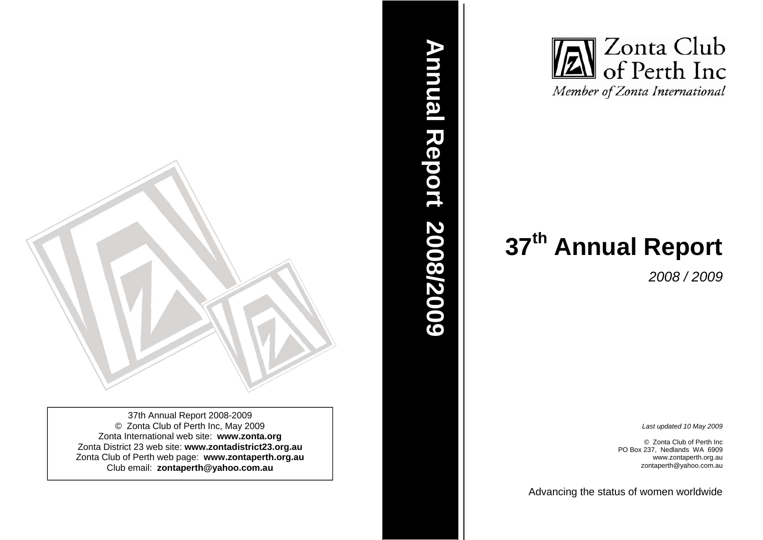

37th Annual Report 2008-2009 © Zonta Club of Perth Inc, May 2009 Zonta International web site: **www.zonta.org**  Zonta District 23 web site: **www.zontadistrict23.org.au** Zonta Club of Perth web page: **www.zontaperth.org.au**  Club email: **zontaperth@yahoo.com.au**



*2008 / 2009* 

*Last updated 10 May 2009* 

© Zonta Club of Perth Inc PO Box 237, Nedlands WA 6909 www.zontaperth.org.au zontaperth@yahoo.com.au

Advancin g the status of women worldwide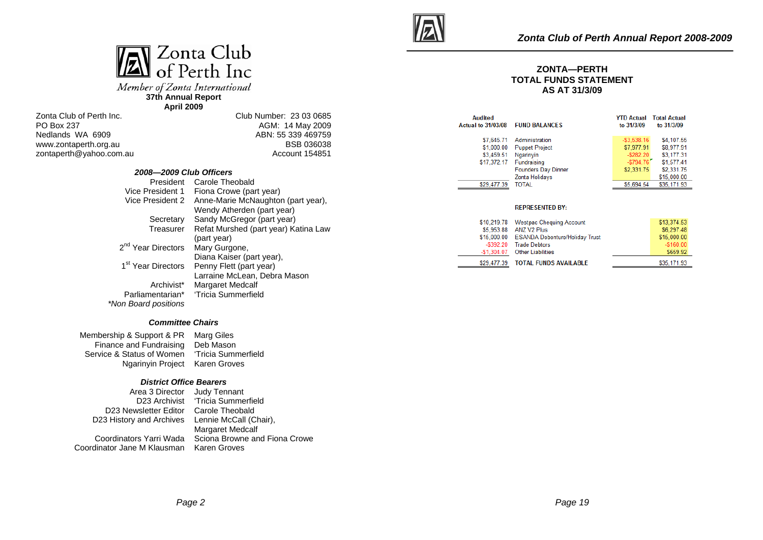

Member of Zonta International **37th Annual Report** 

**April 2009**

Zonta Club of Perth Inc. PO Box 237 Nedlands WA 6909 www.zontaperth.org.au zontaperth@yahoo.com.au Club Number: 23 03 0685 AGM: 14 May 2009 ABN: 55 339 469759 BSB 036038 Account 154851

| 2008-2009 Club Officers        |                                      |
|--------------------------------|--------------------------------------|
| President                      | Carole Theobald                      |
| Vice President 1               | Fiona Crowe (part year)              |
| Vice President 2               | Anne-Marie McNaughton (part year),   |
|                                | Wendy Atherden (part year)           |
| Secretary                      | Sandy McGregor (part year)           |
| Treasurer                      | Refat Murshed (part year) Katina Law |
|                                | (part year)                          |
| 2 <sup>nd</sup> Year Directors | Mary Gurgone,                        |
|                                | Diana Kaiser (part year),            |
| 1 <sup>st</sup> Year Directors | Penny Flett (part year)              |
|                                | Larraine McLean, Debra Mason         |
| Archivist*                     | <b>Margaret Medcalf</b>              |
| Parliamentarian*               | 'Tricia Summerfield                  |
| *Non Board positions           |                                      |

#### *Committee Chairs*

Membership & Support & PR Marg Giles Finance and Fundraising Deb Mason Service & Status of Women Ngarinyin Project Karen Groves 'Tricia Summerfield

#### *District Office Bearers*

| Area 3 Director                                 | Judy Tennant                  |
|-------------------------------------------------|-------------------------------|
| D23 Archivist                                   | 'Tricia Summerfield           |
| D23 Newsletter Editor Carole Theobald           |                               |
| D23 History and Archives Lennie McCall (Chair), |                               |
|                                                 | <b>Margaret Medcalf</b>       |
| Coordinators Yarri Wada                         | Sciona Browne and Fiona Crowe |
| Coordinator Jane M Klausman.                    | Karen Groves                  |



#### **ZONTA—PERTH TOTAL FUNDS STATEMENT AS AT 31/3/09**

| <b>Audited</b><br><b>Actual to 31/03/08</b> | <b>FUND BALANCES</b>       | to 31/3/09     | <b>YTD Actual</b> Total Actual<br>to 31/3/09 |
|---------------------------------------------|----------------------------|----------------|----------------------------------------------|
| \$7,645.71                                  | Administration             | $-$ \$3.538.16 | \$4,107.55                                   |
| \$1,000.00                                  | <b>Puppet Project</b>      | \$7,977.91     | \$8,977.91                                   |
| \$3,459.51                                  | Ngarinvin                  | $-$ \$282.20   | \$3,177.31                                   |
| \$17,372.17                                 | Fundraising                | $-5794.76$     | \$1,577.41                                   |
|                                             | <b>Founders Day Dinner</b> | \$2,331.75     | \$2,331.75                                   |
|                                             | Zonta Holidays             |                | \$15,000.00                                  |
| \$29.477.39                                 | <b>TOTAL</b>               | \$5.694.54     | \$35,171.93                                  |

#### **REPRESENTED BY:**

|              | \$10,219.78 Westpac Chequing Account       | \$13,374.53  |
|--------------|--------------------------------------------|--------------|
| \$5,953.88   | ANZ V2 Plus                                | \$6,297.48   |
|              | \$15,000.00 ESANDA Debenture/Holiday Trust | \$15,000.00  |
| $-$ \$392.20 | <b>Trade Debtors</b>                       | $-$ \$160.00 |
|              | -\$1.304.07 Other Liabilities              | \$659.92     |
| \$29,477.39  | TOTAL FUNDS AVAILABLE                      | \$35,171.93  |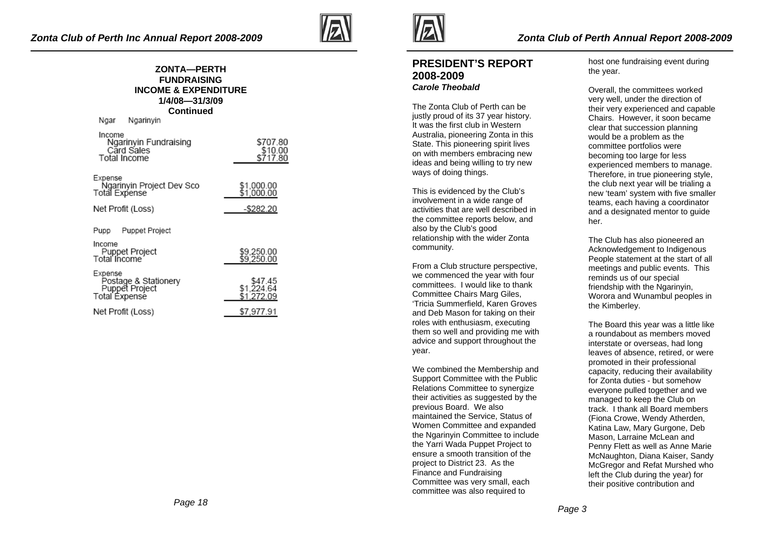**March Marchant** 



#### **ZONTA—PERTH FUNDRAISING INCOME & EXPENDITURE 1/4/08—31/3/09 Continued**

| ingar ngarinyin                                                           |                                     |
|---------------------------------------------------------------------------|-------------------------------------|
| Income<br>Ngarinyin Fundraising<br>Card Sales<br>Total Income             | \$707.80<br>\$10.00<br>\$717.80     |
| Expense<br>Ngarinyin Project Dev Sco<br>Total Expense                     | \$1,000.00<br>\$1.000.00            |
| Net Profit (Loss)                                                         | $-$ \$282.20                        |
| Puppet Project<br>Pupp                                                    |                                     |
| Income<br>Puppet Project<br>Total Income                                  | \$9,250.00<br>\$9,250.00            |
| Expense<br>Postage & Stationery<br>Puppet Project<br><b>Total Expense</b> | \$47.45<br>\$1,224.64<br>\$1,272.09 |
| Net Profit (Loss)                                                         | \$7,977.91                          |



## **PRESIDENT'S REPORT 2008-2009** *Carole Theobald*

The Zonta Club of Perth can be justly proud of its 37 year history. It was the first club in Western Australia, pioneering Zonta in this State. This pioneering spirit lives on with members embracing new ideas and being willing to try new ways of doing things.

This is evidenced by the Club's involvement in a wide range of activities that are well described in the committee reports below, and also by the Club's good relationship with the wider Zonta community.

From a Club structure perspective, we commenced the year with four committees. I would like to thank Committee Chairs Marg Giles, 'Tricia Summerfield, Karen Groves and Deb Mason for taking on their roles with enthusiasm, executing them so well and providing me with advice and support throughout the year.

We combined the Membership and Support Committee with the Public Relations Committee to synergize their activities as suggested by the previous Board. We also maintained the Service, Status of Women Committee and expanded the Ngarinyin Committee to include the Yarri Wada Puppet Project to ensure a smooth transition of the project to District 23. As the Finance and Fundraising Committee was very small, each committee was also required to

host one fundraising event during the year.

Overall, the committees worked very well, under the direction of their very experienced and capable Chairs. However, it soon became clear that succession planning would be a problem as the committee portfolios were becoming too large for less experienced members to manage. Therefore, in true pioneering style, the club next year will be trialing a new 'team' system with five smaller teams, each having a coordinator and a designated mentor to quide her.

The Club has also pioneered an Acknowledgement to Indigenous People statement at the start of all meetings and public events. This reminds us of our special friendship with the Ngarinyin, Worora and Wunambul peoples in the Kimberley.

The Board this year was a little like a roundabout as members moved interstate or overseas, had long leaves of absence, retired, or were promoted in their professional capacity, reducing their availability for Zonta duties - but somehow everyone pulled together and we managed to keep the Club on track. I thank all Board members (Fiona Crowe, Wendy Atherden, Katina Law, Mary Gurgone, Deb Mason, Larraine McLean and Penny Flett as well as Anne Marie McNaughton, Diana Kaiser, Sandy McGregor and Refat Murshed who left the Club during the year) for their positive contribution and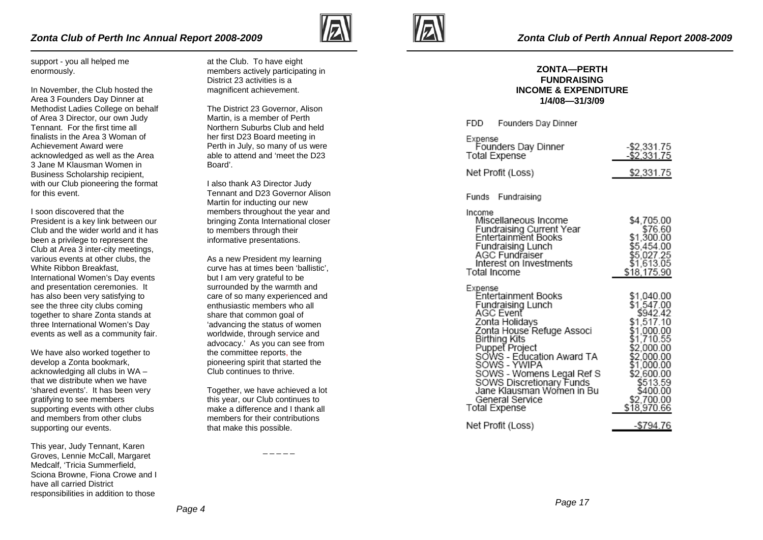

support - you all helped me enormously.

In November, the Club hosted the Area 3 Founders Day Dinner at Methodist Ladies College on behalf of Area 3 Director, our own Judy Tennant. For the first time all finalists in the Area 3 Woman of Achievement Award were acknowledged as well as the Area 3 Jane M Klausman Women in Business Scholarship recipient, with our Club pioneering the format for this event.

I soon discovered that the President is a key link between our Club and the wider world and it has been a privilege to represent the Club at Area 3 inter-city meetings, various events at other clubs, the White Ribbon Breakfast International Women's Day events and presentation ceremonies. It has also been very satisfying to see the three city clubs coming together to share Zonta stands at three International Women's Day events as well as a community fair.

We have also worked together to develop a Zonta bookmark, acknowledging all clubs in WA – that we distribute when we have 'shared events'. It has been very gratifying to see members supporting events with other clubs and members from other clubs supporting our events.

This year, Judy Tennant, Karen Groves, Lennie McCall, Margaret Medcalf, 'Tricia Summerfield, Sciona Browne, Fiona Crowe and I have all carried District responsibilities in addition to those

at the Club. To have eight members actively participating in District 23 activities is a magnificent achievement.

The District 23 Governor, Alison Martin, is a member of Perth Northern Suburbs Club and held her first D23 Board meeting in Perth in July, so many of us were able to attend and 'meet the D23 Board'.

I also thank A3 Director Judy Tennant and D23 Governor Alison Martin for inducting our new members throughout the year and bringing Zonta International closer to members through their informative presentations.

As a new President my learning curve has at times been 'ballistic', but I am very grateful to be surrounded by the warmth and care of so many experienced and enthusiastic members who all share that common goal of 'advancing the status of women worldwide, through service and advocacy.' As you can see from the committee reports, the pioneering spirit that started the Club continues to thrive.

Together, we have achieved a lot this year, our Club continues to make a difference and I thank all members for their contributions that make this possible.



**COD** 

#### **ZONTA—PERTH FUNDRAISING INCOME & EXPENDITURE 1/4/08—31/3/09**

Farmer Barr Black

| <b>FDD Fuunders Day Dinner</b>                                                                                                                                                                                                                                                                                                   |                                                                                                                                                                                             |
|----------------------------------------------------------------------------------------------------------------------------------------------------------------------------------------------------------------------------------------------------------------------------------------------------------------------------------|---------------------------------------------------------------------------------------------------------------------------------------------------------------------------------------------|
| Expense<br>Founders Day Dinner<br>Total Expense                                                                                                                                                                                                                                                                                  | -\$2,331.75<br>$-$ \$2,331.75                                                                                                                                                               |
| Net Profit (Loss)                                                                                                                                                                                                                                                                                                                | \$2,331.75                                                                                                                                                                                  |
| Funds Fundraising                                                                                                                                                                                                                                                                                                                |                                                                                                                                                                                             |
| Income<br>Miscellaneous Income<br>Fundraising Current Year<br>Entertainment Books<br>Fundraising Lunch<br>AGC Fundraiser<br>Interest on Investments<br>Total Income                                                                                                                                                              | \$4.705.00<br>\$76.60<br>\$1,300.00<br>\$5,454.00<br>\$5,027.25<br>\$1,613.05<br>\$18,175.90                                                                                                |
| Expense<br>Entertainment Books<br>Fundraising Lunch<br>AGC Event<br>Zonta Holidays<br>Zonta House Refuge Associ<br>Birthing Kits<br>Puppet Project<br>SOWS - Education Award TA<br>SOWS - YWIPA<br>SOWS - Womens Legal Ref S<br>SOWS Discretionary Funds<br>Jane Klausman Women in Bu<br>General Service<br><b>Total Expense</b> | \$1,040.00<br>\$1,547.00<br>\$942.42<br>\$1,517.10<br>\$1,000.00<br>\$1,710.55<br>\$2,000.00<br>\$2,000.00<br>\$1,000.00<br>\$2,600.00<br>\$513.59<br>\$400.00<br>\$2,700.00<br>\$18,970.66 |
| Net Profit (Loss)                                                                                                                                                                                                                                                                                                                | -\$794.76                                                                                                                                                                                   |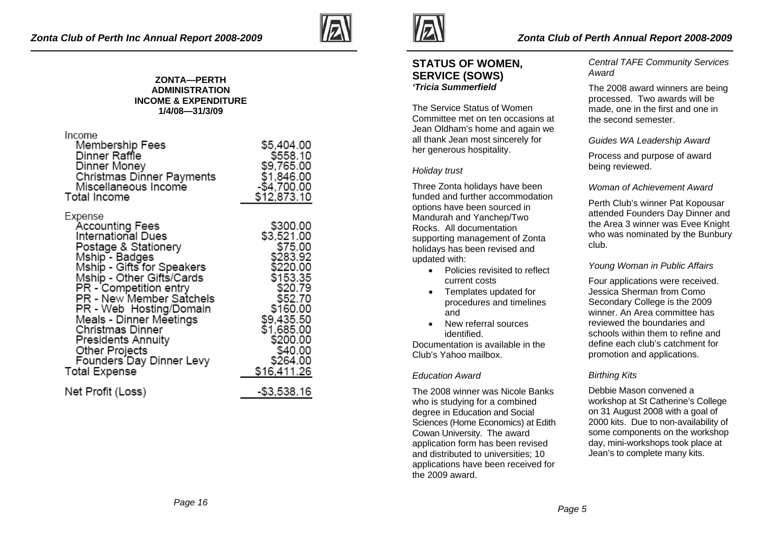

#### **ZONTA—PERTH ADMINISTRATION INCOME & EXPENDITURE 1/4/08—31/3/09**

| Income<br>Membership Fees<br>Dinner Raffle<br>Dinner Money<br>Christmas Dinner Payments<br>Miscellaneous Income<br>Total Income                                                                                                                                                                                                                                                   | \$5,404.00<br>\$558.10<br>\$9,765.00<br>\$1,846.00<br>-\$4,700.00<br>\$12,873.10                                                                                                      |
|-----------------------------------------------------------------------------------------------------------------------------------------------------------------------------------------------------------------------------------------------------------------------------------------------------------------------------------------------------------------------------------|---------------------------------------------------------------------------------------------------------------------------------------------------------------------------------------|
| Expense<br><b>Accounting Fees</b><br>International Dues<br>Postage & Stationery<br>Mship - Badges<br>Mship - Gifts for Speakers<br>Mship - Other Gifts/Cards<br>PR - Competition entry<br>PR - New Member Satchels<br>PR - Web Hosting/Domain<br>Meals - Dinner Meetings<br>Christmas Dinner<br>Presidents Annuity<br>Other Projects<br>Founders Day Dinner Levy<br>Total Expense | \$300.00<br>\$3,521.00<br>\$75.00<br>\$283.92<br>\$220.00<br>\$153.35<br>\$20.79<br>\$52.70<br>\$160.00<br>\$9,435.50<br>\$1,685.00<br>\$200.00<br>\$40.00<br>\$264.00<br>\$16,411.26 |
| Net Profit (Loss)                                                                                                                                                                                                                                                                                                                                                                 | -\$3,538.16                                                                                                                                                                           |



## **STATUS OF WOMEN, SERVICE (SOWS)**  *'Tricia Summerfield*

The Service Status of Women Committee met on ten occasions at Jean Oldham's home and again we all thank Jean most sincerely for her generous hospitality.

## *Holiday trust*

Three Zonta holidays have been funded and further accommodation options have been sourced in Mandurah and Yanchep/Two Rocks. All documentation supporting management of Zonta holidays has been revised and updated with:

- Policies revisited to reflect current costs
- Templates updated for procedures and timelines and
- New referral sources identified.

Documentation is available in the Club's Yahoo mailbox.

## *Education Award*

The 2008 winner was Nicole Banks who is studying for a combined degree in Education and Social Sciences (Home Economics) at Edith Cowan University. The award application form has been revised and distributed to universities; 10 applications have been received for the 2009 award.

*Central TAFE Community Services Award* 

The 2008 award winners are being processed. Two awards will be made, one in the first and one in the second semester.

*Guides WA Leadership Award* 

Process and purpose of award being reviewed.

## *Woman of Achievement Award*

Perth Club's winner Pat Kopousar attended Founders Day Dinner and the Area 3 winner was Evee Knight who was nominated by the Bunbury club.

### *Young Woman in Public Affairs*

Four applications were received. Jessica Sherman from Como Secondary College is the 2009 winner. An Area committee has reviewed the boundaries and schools within them to refine and define each club's catchment for promotion and applications.

## *Birthing Kits*

Debbie Mason convened a workshop at St Catherine's College on 31 August 2008 with a goal of 2000 kits. Due to non-availability of some components on the workshop day, mini-workshops took place at Jean's to complete many kits.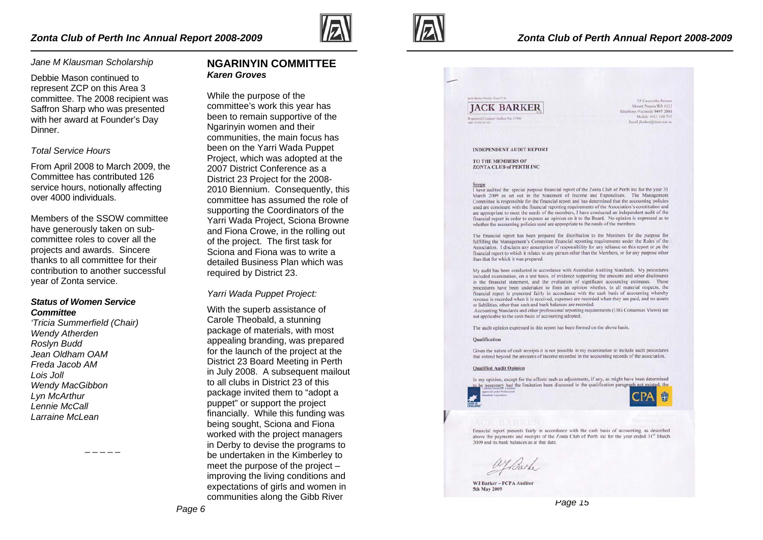

#### *Jane M Klausman Scholarship*

Debbie Mason continued to represent ZCP on this Area 3 committee. The 2008 recipient was Saffron Sharp who was presented with her award at Founder's Day Dinner.

#### *Total Service Hours*

From April 2008 to March 2009, the Committee has contributed 126 service hours, notionally affecting over 4000 individuals.

Members of the SSOW committee have generously taken on subcommittee roles to cover all the projects and awards. Sincere thanks to all committee for their contribution to another successful year of Zonta service.

#### *Status of Women Service Committee*

*'Tricia Summerfield (Chair) Wendy Atherden Roslyn Budd Jean Oldham OAM Freda Jacob AM Lois Joll Wendy MacGibbon Lyn McArthur Lennie McCall Larraine McLean* 

**NGARINYIN COMMITTEE** *Karen Groves* 

While the purpose of the committee's work this year has been to remain supportive of the Ngarinyin women and their communities, the main focus has been on the Yarri Wada Puppet Project, which was adopted at the 2007 District Conference as a District 23 Project for the 2008- 2010 Biennium. Consequently, this committee has assumed the role of supporting the Coordinators of the Yarri Wada Project, Sciona Browne and Fiona Crowe, in the rolling out of the project. The first task for Sciona and Fiona was to write a detailed Business Plan which was required by District 23.

*Yarri Wada Puppet Project:*

With the superb assistance of Carole Theobald, a stunning package of materials, with most appealing branding, was prepared for the launch of the project at the District 23 Board Meeting in Perth in July 2008. A subsequent mailout to all clubs in District 23 of this package invited them to "adopt a puppet" or support the project financially. While this funding was being sought, Sciona and Fiona worked with the project managers in Derby to devise the programs to be undertaken in the Kimberley to meet the purpose of the project – improving the living conditions and expectations of girls and women in communities along the Gibb River



## **IACK BARKER**

**List Burker French Trust T/A** 

93 Caravarha Avenu Mount Nasora WA 6112 Telephone/Facsimile 9497 3501 Mobile 0411 168 719 Email ibarker@iner.net.au

**INDEPENDENT AUDIT REPORT** 

TO THE MEMBERS OF **ZONTA CLUB of PERTH INC** 

I have audited the special purpose financial report of the Zonta Club of Perth inc for the year 31 March 2009 as set out in the Statement of Income and Expenditure. The Management Committee is responsible for the financial report and has determined that the accounting policies used are consistent with the financial reporting requirements of the Association's constitution and are appropriate to meet the needs of the members, I have conducted an independent audit of the financial report in order to express an opinion on it to the Board. No opinion is expressed as to whether the accounting policies used are appropriate to the needs of the members.

The financial report has been prepared for distribution to the Members for the purpose for fulfilling the Management's Committee financial reporting requirements under the Rules of the Association. I disclaim any assumption of responsibility for any reliance on this report or on the financial report to which it relates to any person other than the Members, or for any purpose other than that for which it was prepared.

My audit has been conducted in accordance with Australian Auditing Standards. My procedures included examination, on a test basis, of evidence supporting the amounts and other disclosures in the financial statement, and the evaluation of significant accounting estimates. These procedures have been undertaken to form an opinion whether, in all material respects, the financial report is presented fairly in accordance with the cash basis of accounting whereby revenue is recorded when it is received, expenses are recorded when they are paid, and no assets or liabilities, other than cash and bank balances are recorded.

Accounting Standards and other professional reporting requirements (UIG Consensus Views) are not applicable to the cash basis of accounting adopted.

The audit opinion expressed in this report has been formed on the above basis.

#### Qualification

Given the nature of cash receipts it is not possible in my examination to include audit procedures that extend beyond the amounts of income recorded in the accounting records of the association.

#### **Qualified Audit Opinion**

In my opinion, except for the effects such as adjustments, if any, as might have been determined to be necessary had the limitation been discussed in the qualification paragraph not existed, the



financial report presents fairly in accordance with the cash basis of accounting, as described above the payments and receipts of the Zonta Club of Perth inc for the year ended 31<sup>st</sup> March 2009 and its bank balances as at that date

ayBarlo

WJ Barker - FCPA Auditor 5th May 2009

*Page 15*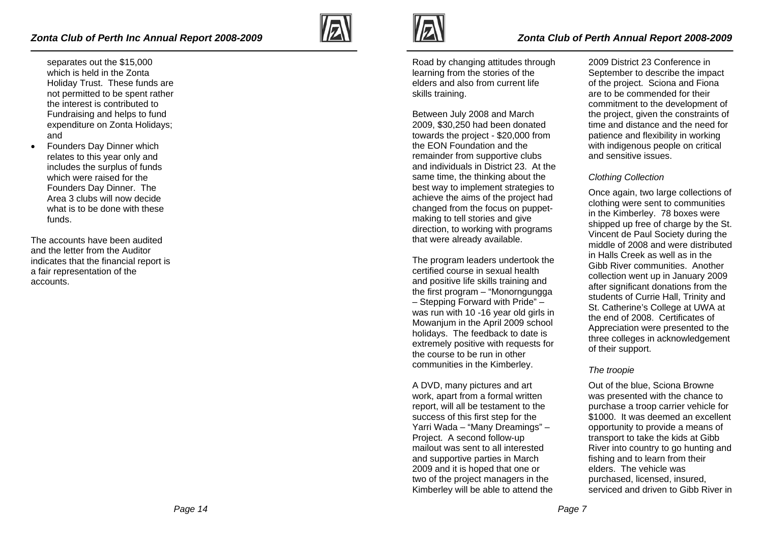- separates out the \$15,000 which is held in the Zonta Holiday Trust. These funds are not permitted to be spent rather the interest is contributed to Fundraising and helps to fund expenditure on Zonta Holidays; and
- Founders Day Dinner which relates to this year only and includes the surplus of funds which were raised for the Founders Day Dinner. The Area 3 clubs will now decide what is to be done with these funds.

The accounts have been audited and the letter from the Auditor indicates that the financial report is a fair representation of the accounts.





## *Zonta Club of Perth Annual Report 2008-2009*

Road by changing attitudes through learning from the stories of the elders and also from current life skills training.

Between July 2008 and March 2009, \$30,250 had been donated towards the project - \$20,000 from the EON Foundation and the remainder from supportive clubs and individuals in District 23. At the same time, the thinking about the best way to implement strategies to achieve the aims of the project had changed from the focus on puppetmaking to tell stories and give direction, to working with programs that were already available.

The program leaders undertook the certified course in sexual health and positive life skills training and the first program – "Monorngungga – Stepping Forward with Pride" – was run with 10 -16 year old girls in Mowanjum in the April 2009 school holidays. The feedback to date is extremely positive with requests for the course to be run in other communities in the Kimberley.

A DVD, many pictures and art work, apart from a formal written report, will all be testament to the success of this first step for the Yarri Wada – "Many Dreamings" – Project. A second follow-up mailout was sent to all interested and supportive parties in March 2009 and it is hoped that one or two of the project managers in the Kimberley will be able to attend the

2009 District 23 Conference in September to describe the impact of the project. Sciona and Fiona are to be commended for their commitment to the development of the project, given the constraints of time and distance and the need for patience and flexibility in working with indigenous people on critical and sensitive issues.

## *Clothing Collection*

Once again, two large collections of clothing were sent to communities in the Kimberley. 78 boxes were shipped up free of charge by the St. Vincent de Paul Society during the middle of 2008 and were distributed in Halls Creek as well as in the Gibb River communities. Another collection went up in January 2009 after significant donations from the students of Currie Hall, Trinity and St. Catherine's College at UWA at the end of 2008. Certificates of Appreciation were presented to the three colleges in acknowledgement of their support.

### *The troopie*

Out of the blue, Sciona Browne was presented with the chance to purchase a troop carrier vehicle for \$1000. It was deemed an excellent opportunity to provide a means of transport to take the kids at Gibb River into country to go hunting and fishing and to learn from their elders. The vehicle was purchased, licensed, insured, serviced and driven to Gibb River in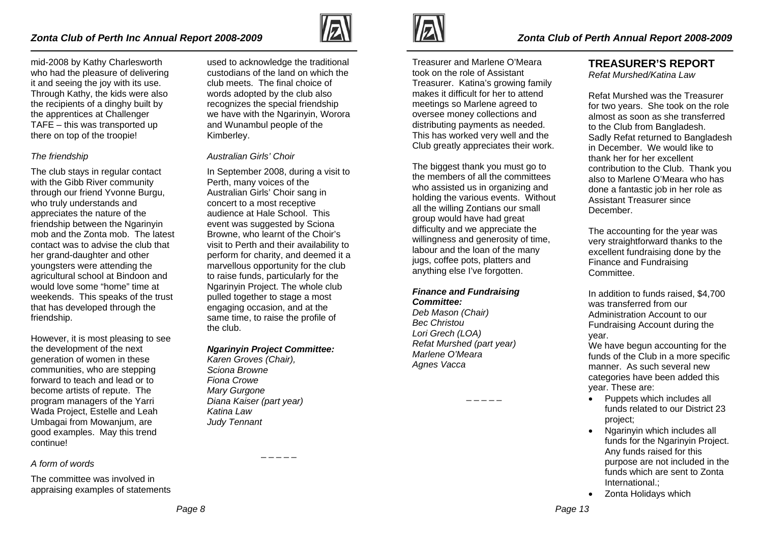

mid-2008 by Kathy Charlesworth who had the pleasure of delivering it and seeing the joy with its use. Through Kathy, the kids were also the recipients of a dinghy built by the apprentices at Challenger TAFE – this was transported up there on top of the troopie!

### *The friendship*

The club stays in regular contact with the Gibb River community through our friend Yvonne Burgu, who truly understands and appreciates the nature of the friendship between the Ngarinyin mob and the Zonta mob. The latest contact was to advise the club that her grand-daughter and other youngsters were attending the agricultural school at Bindoon and would love some "home" time at weekends. This speaks of the trust that has developed through the friendship.

However, it is most pleasing to see the development of the next generation of women in these communities, who are stepping forward to teach and lead or to become artists of repute. The program managers of the Yarri Wada Project, Estelle and Leah Umbagai from Mowanjum, are good examples. May this trend continue!

#### *A form of words*

The committee was involved in appraising examples of statements

used to acknowledge the traditional custodians of the land on which the club meets. The final choice of words adopted by the club also recognizes the special friendship we have with the Ngarinyin, Worora and Wunambul people of the Kimberley.

#### *Australian Girls' Choir*

In September 2008, during a visit to Perth, many voices of the Australian Girls' Choir sang in concert to a most receptive audience at Hale School. This event was suggested by Sciona Browne, who learnt of the Choir's visit to Perth and their availability to perform for charity, and deemed it a marvellous opportunity for the club to raise funds, particularly for the Ngarinyin Project. The whole club pulled together to stage a most engaging occasion, and at the same time, to raise the profile of the club.

#### *Ngarinyin Project Committee:*

*Karen Groves (Chair), Sciona Browne Fiona Crowe Mary Gurgone Diana Kaiser (part year) Katina Law Judy Tennant* 



Treasurer and Marlene O'Meara took on the role of Assistant Treasurer. Katina's growing family makes it difficult for her to attend meetings so Marlene agreed to oversee money collections and distributing payments as needed. This has worked very well and the Club greatly appreciates their work.

The biggest thank you must go to the members of all the committees who assisted us in organizing and holding the various events. Without all the willing Zontians our small group would have had great difficulty and we appreciate the willingness and generosity of time, labour and the loan of the many jugs, coffee pots, platters and anything else I've forgotten.

## *Finance and Fundraising Committee:*

*Deb Mason (Chair) Bec Christou Lori Grech (LOA) Refat Murshed (part year) Marlene O'Meara Agnes Vacca* 

 $-$ 

# **TREASURER'S REPORT**

*Refat Murshed/Katina Law* 

Refat Murshed was the Treasurer for two years. She took on the role almost as soon as she transferred to the Club from Bangladesh. Sadly Refat returned to Bangladesh in December. We would like to thank her for her excellent contribution to the Club. Thank you also to Marlene O'Meara who has done a fantastic job in her role as Assistant Treasurer since December.

The accounting for the year was very straightforward thanks to the excellent fundraising done by the Finance and Fundraising Committee.

In addition to funds raised, \$4,700 was transferred from our Administration Account to our Fundraising Account during the year.

We have begun accounting for the funds of the Club in a more specific manner. As such several new categories have been added this year. These are:

- Puppets which includes all funds related to our District 23 project;
- Ngarinyin which includes all funds for the Ngarinyin Project. Any funds raised for this purpose are not included in the funds which are sent to Zonta International.;
- Zonta Holidays which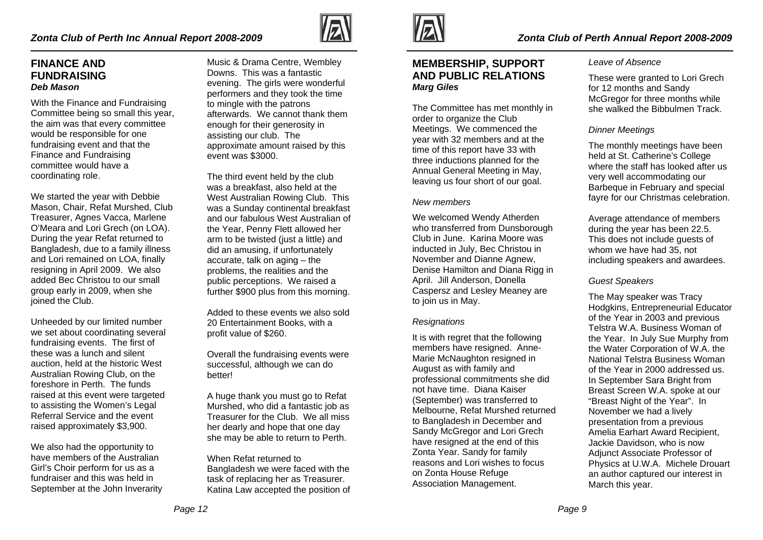# **FINANCE AND FUNDRAISING** *Deb Mason*

With the Finance and Fundraising Committee being so small this year, the aim was that every committee would be responsible for one fundraising event and that the Finance and Fundraising committee would have a coordinating role.

We started the year with Debbie Mason, Chair, Refat Murshed, Club Treasurer, Agnes Vacca, Marlene O'Meara and Lori Grech (on LOA). During the year Refat returned to Bangladesh, due to a family illness and Lori remained on LOA, finally resigning in April 2009. We also added Bec Christou to our small group early in 2009, when she joined the Club.

Unheeded by our limited number we set about coordinating several fundraising events. The first of these was a lunch and silent auction, held at the historic West Australian Rowing Club, on the foreshore in Perth. The funds raised at this event were targeted to assisting the Women's Legal Referral Service and the event raised approximately \$3,900.

We also had the opportunity to have members of the Australian Girl's Choir perform for us as a fundraiser and this was held in September at the John Inverarity

Music & Drama Centre, Wembley Downs. This was a fantastic evening. The girls were wonderful performers and they took the time to mingle with the patrons afterwards. We cannot thank them enough for their generosity in assisting our club. The approximate amount raised by this event was \$3000.

The third event held by the club was a breakfast, also held at the West Australian Rowing Club. This was a Sunday continental breakfast and our fabulous West Australian of the Year, Penny Flett allowed her arm to be twisted (just a little) and did an amusing, if unfortunately accurate, talk on aging – the problems, the realities and the public perceptions. We raised a further \$900 plus from this morning.

Added to these events we also sold 20 Entertainment Books, with a profit value of \$260.

Overall the fundraising events were successful, although we can do better!

A huge thank you must go to Refat Murshed, who did a fantastic job as Treasurer for the Club. We all miss her dearly and hope that one day she may be able to return to Perth.

When Refat returned to Bangladesh we were faced with the task of replacing her as Treasurer. Katina Law accepted the position of



# **MEMBERSHIP, SUPPORT AND PUBLIC RELATIONS** *Marg Giles*

The Committee has met monthly in order to organize the Club Meetings. We commenced the year with 32 members and at the time of this report have 33 with three inductions planned for the Annual General Meeting in May, leaving us four short of our goal.

## *New members*

We welcomed Wendy Atherden who transferred from Dunsborough Club in June. Karina Moore was inducted in July, Bec Christou in November and Dianne Agnew, Denise Hamilton and Diana Rigg in April. Jill Anderson, Donella Caspersz and Lesley Meaney are to join us in May.

## *Resignations*

It is with regret that the following members have resigned. Anne-Marie McNaughton resigned in August as with family and professional commitments she did not have time. Diana Kaiser (September) was transferred to Melbourne, Refat Murshed returned to Bangladesh in December and Sandy McGregor and Lori Grech have resigned at the end of this Zonta Year. Sandy for family reasons and Lori wishes to focus on Zonta House Refuge Association Management.

## *Leave of Absence*

These were granted to Lori Grech for 12 months and Sandy McGregor for three months while she walked the Bibbulmen Track.

# *Dinner Meetings*

The monthly meetings have been held at St. Catherine's College where the staff has looked after us very well accommodating our Barbeque in February and special fayre for our Christmas celebration.

Average attendance of members during the year has been 22.5. This does not include guests of whom we have had 35, not including speakers and awardees.

# *Guest Speakers*

The May speaker was Tracy Hodgkins, Entrepreneurial Educator of the Year in 2003 and previous Telstra W.A. Business Woman of the Year. In July Sue Murphy from the Water Corporation of W.A. the National Telstra Business Woman of the Year in 2000 addressed us. In September Sara Bright from Breast Screen W.A. spoke at our "Breast Night of the Year". In November we had a lively presentation from a previous Amelia Earhart Award Recipient, Jackie Davidson, who is now Adjunct Associate Professor of Physics at U.W.A. Michele Drouart an author captured our interest in March this year.